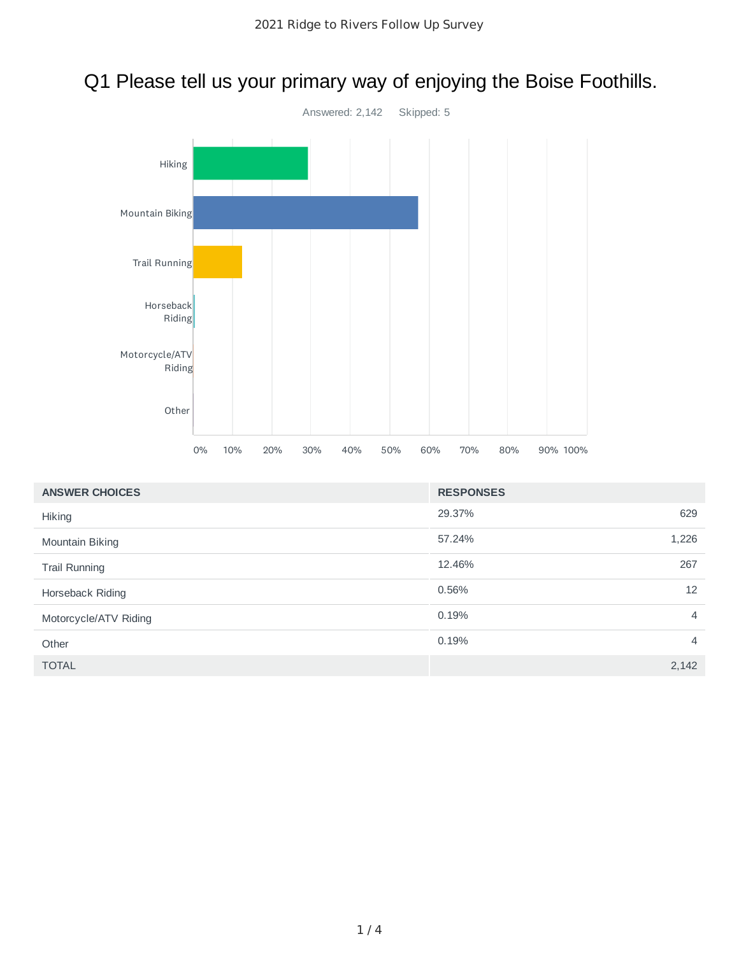## Q1 Please tell us your primary way of enjoying the Boise Foothills.



| <b>ANSWER CHOICES</b> | <b>RESPONSES</b> |                |
|-----------------------|------------------|----------------|
| <b>Hiking</b>         | 29.37%           | 629            |
| Mountain Biking       | 57.24%           | 1,226          |
| <b>Trail Running</b>  | 12.46%           | 267            |
| Horseback Riding      | 0.56%            | 12             |
| Motorcycle/ATV Riding | 0.19%            | $\overline{4}$ |
| Other                 | 0.19%            | $\overline{4}$ |
| <b>TOTAL</b>          |                  | 2,142          |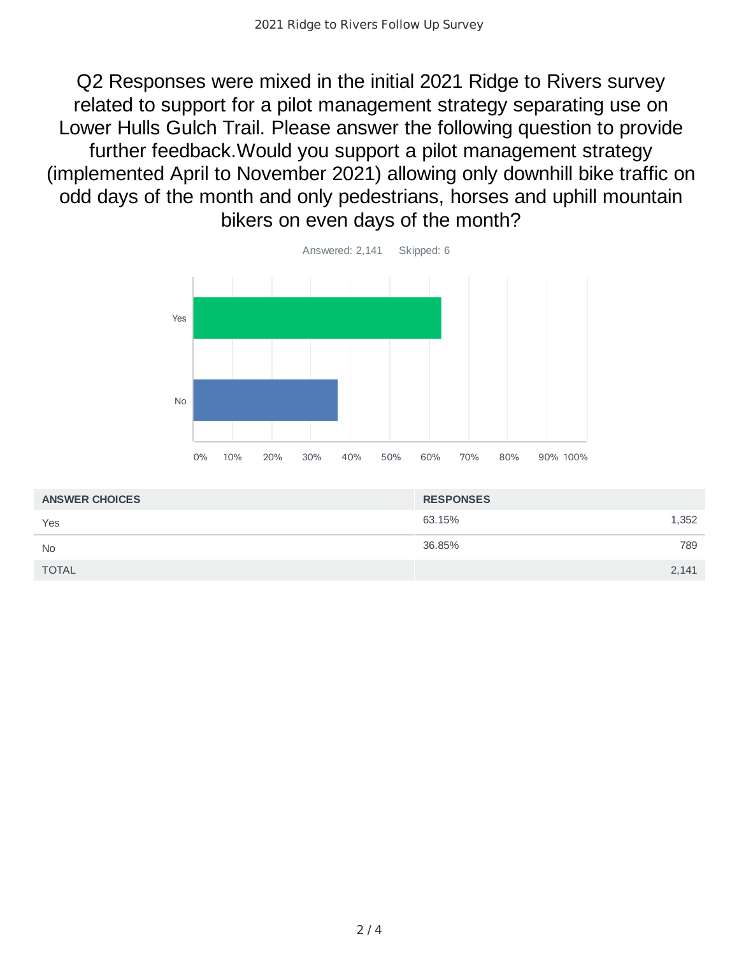Q2 Responses were mixed in the initial 2021 Ridge to Rivers survey related to support for a pilot management strategy separating use on Lower Hulls Gulch Trail. Please answer the following question to provide further feedback.Would you support a pilot management strategy (implemented April to November 2021) allowing only downhill bike traffic on odd days of the month and only pedestrians, horses and uphill mountain bikers on even days of the month?



| <b>ANSWER CHOICES</b> | <b>RESPONSES</b> |
|-----------------------|------------------|
| Yes                   | 63.15%<br>1,352  |
| <b>No</b>             | 36.85%<br>789    |
| <b>TOTAL</b>          | 2,141            |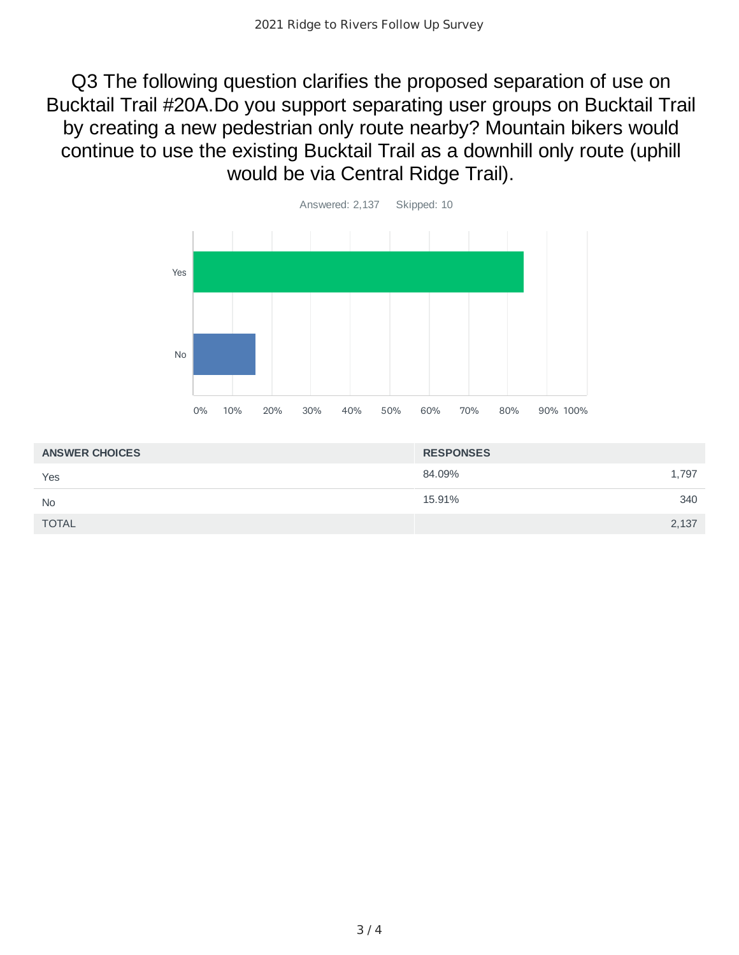Q3 The following question clarifies the proposed separation of use on Bucktail Trail #20A.Do you support separating user groups on Bucktail Trail by creating a new pedestrian only route nearby? Mountain bikers would continue to use the existing Bucktail Trail as a downhill only route (uphill would be via Central Ridge Trail).



| <b>ANSWER CHOICES</b> | <b>RESPONSES</b> |
|-----------------------|------------------|
| Yes                   | 84.09%<br>1,797  |
| <b>No</b>             | 340<br>15.91%    |
| <b>TOTAL</b>          | 2,137            |